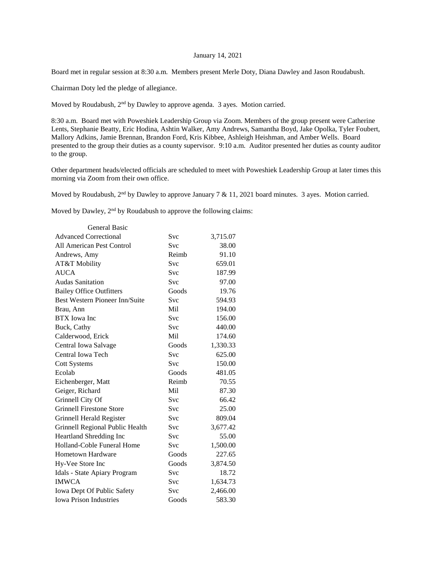## January 14, 2021

Board met in regular session at 8:30 a.m. Members present Merle Doty, Diana Dawley and Jason Roudabush.

Chairman Doty led the pledge of allegiance.

Moved by Roudabush, 2<sup>nd</sup> by Dawley to approve agenda. 3 ayes. Motion carried.

8:30 a.m. Board met with Poweshiek Leadership Group via Zoom. Members of the group present were Catherine Lents, Stephanie Beatty, Eric Hodina, Ashtin Walker, Amy Andrews, Samantha Boyd, Jake Opolka, Tyler Foubert, Mallory Adkins, Jamie Brennan, Brandon Ford, Kris Kibbee, Ashleigh Heishman, and Amber Wells. Board presented to the group their duties as a county supervisor. 9:10 a.m. Auditor presented her duties as county auditor to the group.

Other department heads/elected officials are scheduled to meet with Poweshiek Leadership Group at later times this morning via Zoom from their own office.

Moved by Roudabush,  $2<sup>nd</sup>$  by Dawley to approve January 7 & 11, 2021 board minutes. 3 ayes. Motion carried.

Moved by Dawley, 2<sup>nd</sup> by Roudabush to approve the following claims:

| <b>General Basic</b>                  |            |          |
|---------------------------------------|------------|----------|
| <b>Advanced Correctional</b>          | Svc        | 3,715.07 |
| All American Pest Control             | Svc        | 38.00    |
| Andrews, Amy                          | Reimb      | 91.10    |
| AT&T Mobility                         | Svc        | 659.01   |
| <b>AUCA</b>                           | Svc        | 187.99   |
| <b>Audas Sanitation</b>               | <b>Svc</b> | 97.00    |
| <b>Bailey Office Outfitters</b>       | Goods      | 19.76    |
| <b>Best Western Pioneer Inn/Suite</b> | Svc        | 594.93   |
| Brau, Ann                             | Mil        | 194.00   |
| <b>BTX</b> Iowa Inc                   | Svc        | 156.00   |
| Buck, Cathy                           | Svc        | 440.00   |
| Calderwood, Erick                     | Mil        | 174.60   |
| Central Iowa Salvage                  | Goods      | 1,330.33 |
| Central Iowa Tech                     | Svc        | 625.00   |
| <b>Cott Systems</b>                   | Svc        | 150.00   |
| Ecolab                                | Goods      | 481.05   |
| Eichenberger, Matt                    | Reimb      | 70.55    |
| Geiger, Richard                       | Mil        | 87.30    |
| Grinnell City Of                      | Svc        | 66.42    |
| <b>Grinnell Firestone Store</b>       | Svc        | 25.00    |
| Grinnell Herald Register              | Svc        | 809.04   |
| Grinnell Regional Public Health       | Svc        | 3,677.42 |
| Heartland Shredding Inc               | Svc        | 55.00    |
| Holland-Coble Funeral Home            | Svc        | 1,500.00 |
| <b>Hometown Hardware</b>              | Goods      | 227.65   |
| Hy-Vee Store Inc                      | Goods      | 3,874.50 |
| Idals - State Apiary Program          | Svc        | 18.72    |
| <b>IMWCA</b>                          | Svc        | 1,634.73 |
| Iowa Dept Of Public Safety            | Svc        | 2,466.00 |
| <b>Iowa Prison Industries</b>         | Goods      | 583.30   |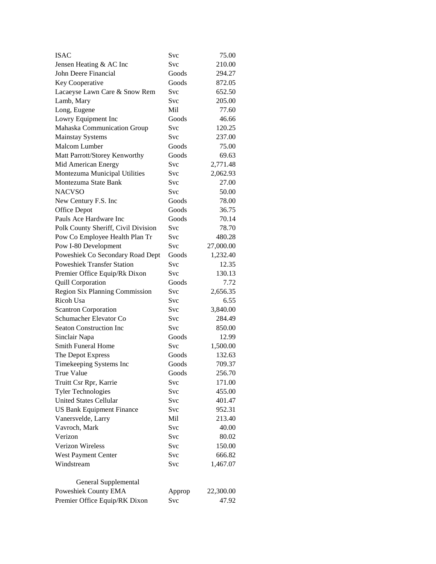| <b>ISAC</b>                           | Svc        | 75.00     |
|---------------------------------------|------------|-----------|
| Jensen Heating & AC Inc               | Svc        | 210.00    |
| John Deere Financial                  | Goods      | 294.27    |
| Key Cooperative                       | Goods      | 872.05    |
| Lacaeyse Lawn Care & Snow Rem         | <b>Svc</b> | 652.50    |
| Lamb, Mary                            | Svc        | 205.00    |
| Long, Eugene                          | Mil        | 77.60     |
| Lowry Equipment Inc                   | Goods      | 46.66     |
| Mahaska Communication Group           | Svc        | 120.25    |
| <b>Mainstay Systems</b>               | Svc        | 237.00    |
| Malcom Lumber                         | Goods      | 75.00     |
| Matt Parrott/Storey Kenworthy         | Goods      | 69.63     |
| Mid American Energy                   | Svc        | 2,771.48  |
| Montezuma Municipal Utilities         | Svc        | 2,062.93  |
| Montezuma State Bank                  | Svc        | 27.00     |
| <b>NACVSO</b>                         | Svc        | 50.00     |
| New Century F.S. Inc                  | Goods      | 78.00     |
| Office Depot                          | Goods      | 36.75     |
| Pauls Ace Hardware Inc                | Goods      | 70.14     |
| Polk County Sheriff, Civil Division   | Svc        | 78.70     |
| Pow Co Employee Health Plan Tr        | Svc        | 480.28    |
| Pow I-80 Development                  | Svc        | 27,000.00 |
| Poweshiek Co Secondary Road Dept      | Goods      | 1,232.40  |
| <b>Poweshiek Transfer Station</b>     | Svc        |           |
|                                       | Svc        | 12.35     |
| Premier Office Equip/Rk Dixon         |            | 130.13    |
| <b>Quill Corporation</b>              | Goods      | 7.72      |
| <b>Region Six Planning Commission</b> | Svc        | 2,656.35  |
| Ricoh Usa                             | Svc        | 6.55      |
| <b>Scantron Corporation</b>           | Svc        | 3,840.00  |
| Schumacher Elevator Co                | Svc        | 284.49    |
| <b>Seaton Construction Inc</b>        | Svc        | 850.00    |
| Sinclair Napa                         | Goods      | 12.99     |
| <b>Smith Funeral Home</b>             | Svc        | 1,500.00  |
| The Depot Express                     | Goods      | 132.63    |
| Timekeeping Systems Inc               | Goods      | 709.37    |
| <b>True Value</b>                     | Goods      | 256.70    |
| Truitt Csr Rpr, Karrie                | Svc        | 171.00    |
| <b>Tyler Technologies</b>             | Svc        | 455.00    |
| <b>United States Cellular</b>         | Svc        | 401.47    |
| <b>US Bank Equipment Finance</b>      | Svc        | 952.31    |
| Vanersvelde, Larry                    | Mil        | 213.40    |
| Vavroch, Mark                         | Svc        | 40.00     |
| Verizon                               | Svc        | 80.02     |
| Verizon Wireless                      | Svc        | 150.00    |
| West Payment Center                   | Svc        | 666.82    |
| Windstream                            | Svc        | 1,467.07  |
|                                       |            |           |
| General Supplemental                  |            |           |
| Poweshiek County EMA                  | Approp     | 22,300.00 |
| Premier Office Equip/RK Dixon         | Svc        | 47.92     |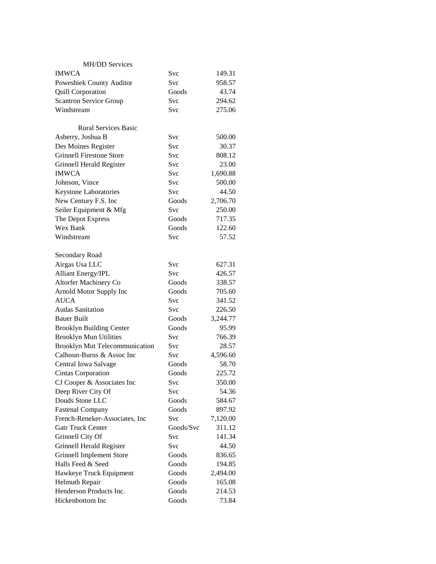| <b>MH/DD Services</b>                 |            |          |
|---------------------------------------|------------|----------|
| <b>IMWCA</b>                          | Svc        | 149.31   |
| Poweshiek County Auditor              | Svc        | 958.57   |
| <b>Quill Corporation</b>              | Goods      | 43.74    |
| <b>Scantron Service Group</b>         | Svc        | 294.62   |
| Windstream                            | Svc        | 275.06   |
|                                       |            |          |
| <b>Rural Services Basic</b>           |            |          |
| Asberry, Joshua B                     | Svc        | 500.00   |
| Des Moines Register                   | Svc        | 30.37    |
| <b>Grinnell Firestone Store</b>       | Svc        | 808.12   |
| Grinnell Herald Register              | Svc        | 23.00    |
| <b>IMWCA</b>                          | Svc        | 1,690.88 |
| Johnson, Vince                        | Svc        | 500.00   |
| Keystone Laboratories                 | Svc        | 44.50    |
| New Century F.S. Inc                  | Goods      | 2,706.70 |
| Seiler Equipment & Mfg                | Svc        | 250.00   |
| The Depot Express                     | Goods      | 717.35   |
| Wex Bank                              | Goods      | 122.60   |
| Windstream                            | Svc        | 57.52    |
|                                       |            |          |
| Secondary Road                        |            |          |
| Airgas Usa LLC                        | Svc        | 627.31   |
| <b>Alliant Energy/IPL</b>             | Svc        | 426.57   |
| Altorfer Machinery Co                 | Goods      | 338.57   |
| Arnold Motor Supply Inc               | Goods      | 705.60   |
| <b>AUCA</b>                           | Svc        | 341.52   |
| <b>Audas Sanitation</b>               | Svc        | 226.50   |
| <b>Bauer Built</b>                    | Goods      | 3,244.77 |
| <b>Brooklyn Building Center</b>       | Goods      | 95.99    |
| <b>Brooklyn Mun Utilities</b>         | Svc        | 766.39   |
| <b>Brooklyn Mut Telecommunication</b> | <b>Svc</b> | 28.57    |
| Calhoun-Burns & Assoc Inc             | <b>Svc</b> | 4,596.60 |
| Central Iowa Salvage                  | Goods      | 58.70    |
| <b>Cintas Corporation</b>             | Goods      | 225.72   |
| CJ Cooper & Associates Inc            | Svc        | 350.00   |
| Deep River City Of                    | Svc        | 54.36    |
| Douds Stone LLC                       | Goods      | 584.67   |
| <b>Fastenal Company</b>               | Goods      | 897.92   |
| French-Reneker-Associates, Inc        | Svc        | 7,120.00 |
| <b>Gatr Truck Center</b>              | Goods/Svc  | 311.12   |
| Grinnell City Of                      | Svc        | 141.34   |
| Grinnell Herald Register              | Svc        | 44.50    |
| <b>Grinnell Implement Store</b>       | Goods      | 836.65   |
| Halls Feed & Seed                     | Goods      | 194.85   |
| Hawkeye Truck Equipment               | Goods      | 2,494.00 |
| Helmuth Repair                        | Goods      | 165.08   |
| Henderson Products Inc.               | Goods      | 214.53   |
| Hickenbottom Inc                      | Goods      | 73.84    |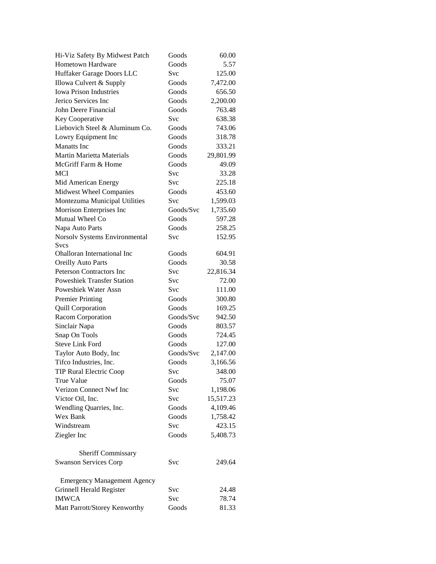| Hi-Viz Safety By Midwest Patch     | Goods     | 60.00     |
|------------------------------------|-----------|-----------|
| Hometown Hardware                  | Goods     | 5.57      |
| Huffaker Garage Doors LLC          | Svc       | 125.00    |
| Illowa Culvert & Supply            | Goods     | 7,472.00  |
| <b>Iowa Prison Industries</b>      | Goods     | 656.50    |
| Jerico Services Inc                | Goods     | 2,200.00  |
| John Deere Financial               | Goods     | 763.48    |
| Key Cooperative                    | Svc       | 638.38    |
| Liebovich Steel & Aluminum Co.     | Goods     | 743.06    |
| Lowry Equipment Inc                | Goods     | 318.78    |
| <b>Manatts</b> Inc                 | Goods     | 333.21    |
| <b>Martin Marietta Materials</b>   | Goods     | 29,801.99 |
| McGriff Farm & Home                | Goods     | 49.09     |
| <b>MCI</b>                         | Svc       | 33.28     |
| Mid American Energy                | Svc       | 225.18    |
| Midwest Wheel Companies            | Goods     | 453.60    |
| Montezuma Municipal Utilities      | Svc       | 1,599.03  |
| Morrison Enterprises Inc           | Goods/Svc | 1,735.60  |
| Mutual Wheel Co                    | Goods     | 597.28    |
| Napa Auto Parts                    | Goods     | 258.25    |
| Norsolv Systems Environmental      | Svc       | 152.95    |
| Svcs                               |           |           |
| <b>Ohalloran International Inc</b> | Goods     | 604.91    |
| <b>Oreilly Auto Parts</b>          | Goods     | 30.58     |
| <b>Peterson Contractors Inc</b>    | Svc       | 22,816.34 |
| <b>Poweshiek Transfer Station</b>  | Svc       | 72.00     |
| Poweshiek Water Assn               | Svc       | 111.00    |
| <b>Premier Printing</b>            | Goods     | 300.80    |
| <b>Quill Corporation</b>           | Goods     | 169.25    |
| Racom Corporation                  | Goods/Svc | 942.50    |
| Sinclair Napa                      | Goods     | 803.57    |
| Snap On Tools                      | Goods     | 724.45    |
| <b>Steve Link Ford</b>             | Goods     | 127.00    |
| Taylor Auto Body, Inc              | Goods/Svc | 2,147.00  |
| Tifco Industries, Inc.             | Goods     | 3,166.56  |
| <b>TIP Rural Electric Coop</b>     | Svc       | 348.00    |
| True Value                         | Goods     | 75.07     |
| Verizon Connect Nwf Inc            | Svc       | 1,198.06  |
| Victor Oil, Inc.                   | Svc       | 15,517.23 |
| Wendling Quarries, Inc.            | Goods     | 4,109.46  |
| Wex Bank                           | Goods     | 1,758.42  |
| Windstream                         | Svc       | 423.15    |
| Ziegler Inc                        | Goods     | 5,408.73  |
|                                    |           |           |
| <b>Sheriff Commissary</b>          |           |           |
| <b>Swanson Services Corp</b>       | Svc       | 249.64    |
| <b>Emergency Management Agency</b> |           |           |
| <b>Grinnell Herald Register</b>    | Svc       | 24.48     |
| <b>IMWCA</b>                       | Svc       | 78.74     |
| Matt Parrott/Storey Kenworthy      | Goods     | 81.33     |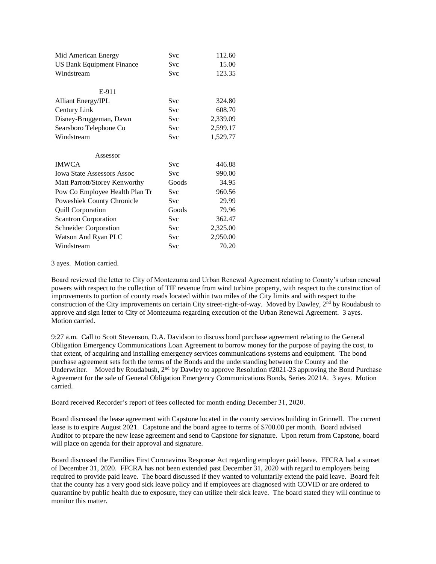| Mid American Energy               | <b>Svc</b> | 112.60   |
|-----------------------------------|------------|----------|
| <b>US Bank Equipment Finance</b>  | Svc        | 15.00    |
| Windstream                        | Svc        | 123.35   |
|                                   |            |          |
| E-911                             |            |          |
| <b>Alliant Energy/IPL</b>         | <b>Svc</b> | 324.80   |
| Century Link                      | Svc        | 608.70   |
| Disney-Bruggeman, Dawn            | Svc        | 2,339.09 |
| Searsboro Telephone Co            | Svc        | 2,599.17 |
| Windstream                        | Svc        | 1,529.77 |
|                                   |            |          |
| Assessor                          |            |          |
| <b>IMWCA</b>                      | <b>Svc</b> | 446.88   |
| <b>Iowa State Assessors Assoc</b> | <b>Svc</b> | 990.00   |
| Matt Parrott/Storey Kenworthy     | Goods      | 34.95    |
| Pow Co Employee Health Plan Tr    | <b>Svc</b> | 960.56   |
| Poweshiek County Chronicle        | <b>Svc</b> | 29.99    |
| <b>Quill Corporation</b>          | Goods      | 79.96    |
| <b>Scantron Corporation</b>       | Svc        | 362.47   |
| <b>Schneider Corporation</b>      | Svc        | 2,325.00 |
| Watson And Ryan PLC               | Svc        | 2,950.00 |
| Windstream                        |            |          |

3 ayes. Motion carried.

Board reviewed the letter to City of Montezuma and Urban Renewal Agreement relating to County's urban renewal powers with respect to the collection of TIF revenue from wind turbine property, with respect to the construction of improvements to portion of county roads located within two miles of the City limits and with respect to the construction of the City improvements on certain City street-right-of-way. Moved by Dawley, 2<sup>nd</sup> by Roudabush to approve and sign letter to City of Montezuma regarding execution of the Urban Renewal Agreement. 3 ayes. Motion carried.

9:27 a.m. Call to Scott Stevenson, D.A. Davidson to discuss bond purchase agreement relating to the General Obligation Emergency Communications Loan Agreement to borrow money for the purpose of paying the cost, to that extent, of acquiring and installing emergency services communications systems and equipment. The bond purchase agreement sets forth the terms of the Bonds and the understanding between the County and the Underwriter. Moved by Roudabush,  $2<sup>nd</sup>$  by Dawley to approve Resolution #2021-23 approving the Bond Purchase Agreement for the sale of General Obligation Emergency Communications Bonds, Series 2021A. 3 ayes. Motion carried.

Board received Recorder's report of fees collected for month ending December 31, 2020.

Board discussed the lease agreement with Capstone located in the county services building in Grinnell. The current lease is to expire August 2021. Capstone and the board agree to terms of \$700.00 per month. Board advised Auditor to prepare the new lease agreement and send to Capstone for signature. Upon return from Capstone, board will place on agenda for their approval and signature.

Board discussed the Families First Coronavirus Response Act regarding employer paid leave. FFCRA had a sunset of December 31, 2020. FFCRA has not been extended past December 31, 2020 with regard to employers being required to provide paid leave. The board discussed if they wanted to voluntarily extend the paid leave. Board felt that the county has a very good sick leave policy and if employees are diagnosed with COVID or are ordered to quarantine by public health due to exposure, they can utilize their sick leave. The board stated they will continue to monitor this matter.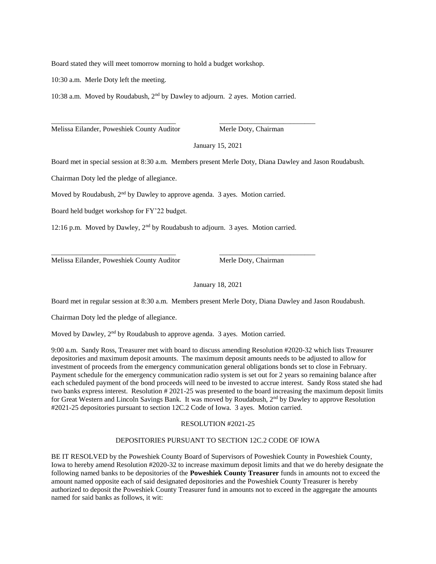Board stated they will meet tomorrow morning to hold a budget workshop.

10:30 a.m. Merle Doty left the meeting.

10:38 a.m. Moved by Roudabush,  $2<sup>nd</sup>$  by Dawley to adjourn. 2 ayes. Motion carried.

\_\_\_\_\_\_\_\_\_\_\_\_\_\_\_\_\_\_\_\_\_\_\_\_\_\_\_\_\_\_\_\_\_\_\_ \_\_\_\_\_\_\_\_\_\_\_\_\_\_\_\_\_\_\_\_\_\_\_\_\_\_\_

Melissa Eilander, Poweshiek County Auditor Merle Doty, Chairman

January 15, 2021

Board met in special session at 8:30 a.m. Members present Merle Doty, Diana Dawley and Jason Roudabush.

Chairman Doty led the pledge of allegiance.

Moved by Roudabush, 2<sup>nd</sup> by Dawley to approve agenda. 3 ayes. Motion carried.

Board held budget workshop for FY'22 budget.

12:16 p.m. Moved by Dawley, 2nd by Roudabush to adjourn. 3 ayes. Motion carried.

\_\_\_\_\_\_\_\_\_\_\_\_\_\_\_\_\_\_\_\_\_\_\_\_\_\_\_\_\_\_\_\_\_\_\_ \_\_\_\_\_\_\_\_\_\_\_\_\_\_\_\_\_\_\_\_\_\_\_\_\_\_\_

Melissa Eilander, Poweshiek County Auditor Merle Doty, Chairman

January 18, 2021

Board met in regular session at 8:30 a.m. Members present Merle Doty, Diana Dawley and Jason Roudabush.

Chairman Doty led the pledge of allegiance.

Moved by Dawley, 2<sup>nd</sup> by Roudabush to approve agenda. 3 ayes. Motion carried.

9:00 a.m. Sandy Ross, Treasurer met with board to discuss amending Resolution #2020-32 which lists Treasurer depositories and maximum deposit amounts. The maximum deposit amounts needs to be adjusted to allow for investment of proceeds from the emergency communication general obligations bonds set to close in February. Payment schedule for the emergency communication radio system is set out for 2 years so remaining balance after each scheduled payment of the bond proceeds will need to be invested to accrue interest. Sandy Ross stated she had two banks express interest. Resolution # 2021-25 was presented to the board increasing the maximum deposit limits for Great Western and Lincoln Savings Bank. It was moved by Roudabush, 2<sup>nd</sup> by Dawley to approve Resolution #2021-25 depositories pursuant to section 12C.2 Code of Iowa. 3 ayes. Motion carried.

## RESOLUTION #2021-25

## DEPOSITORIES PURSUANT TO SECTION 12C.2 CODE OF IOWA

BE IT RESOLVED by the Poweshiek County Board of Supervisors of Poweshiek County in Poweshiek County, Iowa to hereby amend Resolution #2020-32 to increase maximum deposit limits and that we do hereby designate the following named banks to be depositories of the **Poweshiek County Treasurer** funds in amounts not to exceed the amount named opposite each of said designated depositories and the Poweshiek County Treasurer is hereby authorized to deposit the Poweshiek County Treasurer fund in amounts not to exceed in the aggregate the amounts named for said banks as follows, it wit: